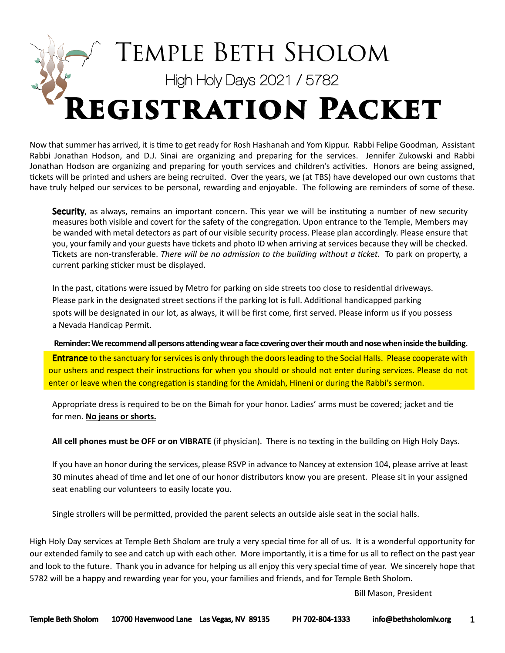# TEMPLE BETH SHOLOM High Holy Days 2021 / 5782 **Registration Packet**

Now that summer has arrived, it is time to get ready for Rosh Hashanah and Yom Kippur. Rabbi Felipe Goodman, Assistant Rabbi Jonathan Hodson, and D.J. Sinai are organizing and preparing for the services. Jennifer Zukowski and Rabbi Jonathan Hodson are organizing and preparing for youth services and children's activities. Honors are being assigned, tickets will be printed and ushers are being recruited. Over the years, we (at TBS) have developed our own customs that have truly helped our services to be personal, rewarding and enjoyable. The following are reminders of some of these.

Security, as always, remains an important concern. This year we will be instituting a number of new security measures both visible and covert for the safety of the congregation. Upon entrance to the Temple, Members may be wanded with metal detectors as part of our visible security process. Please plan accordingly. Please ensure that you, your family and your guests have tickets and photo ID when arriving at services because they will be checked. Tickets are non-transferable. *There will be no admission to the building without a ticket.* To park on property, a current parking sticker must be displayed.

In the past, citations were issued by Metro for parking on side streets too close to residential driveways. Please park in the designated street sections if the parking lot is full. Additional handicapped parking spots will be designated in our lot, as always, it will be first come, first served. Please inform us if you possess a Nevada Handicap Permit.

**Reminder: We recommend all persons attending wear a face covering over their mouth and nose when inside the building.** 

Entrance to the sanctuary for services is only through the doors leading to the Social Halls. Please cooperate with our ushers and respect their instructions for when you should or should not enter during services. Please do not enter or leave when the congregation is standing for the Amidah, Hineni or during the Rabbi's sermon.

Appropriate dress is required to be on the Bimah for your honor. Ladies' arms must be covered; jacket and tie for men. **No jeans or shorts.**

**All cell phones must be OFF or on VIBRATE** (if physician). There is no texting in the building on High Holy Days.

If you have an honor during the services, please RSVP in advance to Nancey at extension 104, please arrive at least 30 minutes ahead of time and let one of our honor distributors know you are present. Please sit in your assigned seat enabling our volunteers to easily locate you.

Single strollers will be permitted, provided the parent selects an outside aisle seat in the social halls.

High Holy Day services at Temple Beth Sholom are truly a very special time for all of us. It is a wonderful opportunity for our extended family to see and catch up with each other. More importantly, it is a time for us all to reflect on the past year and look to the future. Thank you in advance for helping us all enjoy this very special time of year. We sincerely hope that 5782 will be a happy and rewarding year for you, your families and friends, and for Temple Beth Sholom.

Bill Mason, President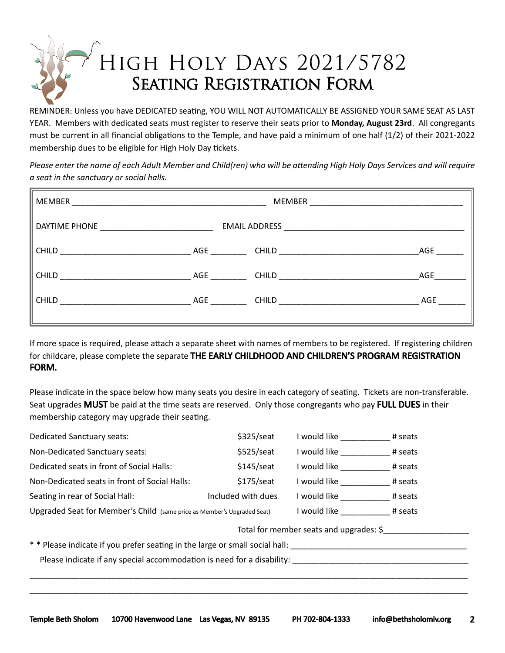# High Holy Days 2021/5782 Seating Registration Form

REMINDER: Unless you have DEDICATED seating, YOU WILL NOT AUTOMATICALLY BE ASSIGNED YOUR SAME SEAT AS LAST YEAR. Members with dedicated seats must register to reserve their seats prior to **Monday, August 23rd**. All congregants must be current in all financial obligations to the Temple, and have paid a minimum of one half (1/2) of their 2021-2022 membership dues to be eligible for High Holy Day tickets.

*Please enter the name of each Adult Member and Child(ren) who will be attending High Holy Days Services and will require a seat in the sanctuary or social halls.*

| MEMBER<br><u> 1980 - Johann John Stone, mars eta biztanleria (h. 1980).</u> |                     |     |
|-----------------------------------------------------------------------------|---------------------|-----|
|                                                                             |                     |     |
|                                                                             | CHILD AGE CHILD AGE |     |
|                                                                             |                     | AGE |
|                                                                             |                     | AGE |

If more space is required, please attach a separate sheet with names of members to be registered. If registering children for childcare, please complete the separate THE EARLY CHILDHOOD AND CHILDREN'S PROGRAM REGISTRATION FORM.

Please indicate in the space below how many seats you desire in each category of seating. Tickets are non-transferable. Seat upgrades MUST be paid at the time seats are reserved. Only those congregants who pay FULL DUES in their membership category may upgrade their seating.

| Dedicated Sanctuary seats:                                              | $$325/$ seat                                                                 | l would like         | # seats |  |  |
|-------------------------------------------------------------------------|------------------------------------------------------------------------------|----------------------|---------|--|--|
| Non-Dedicated Sanctuary seats:                                          | $$525/$ seat                                                                 | I would like         | # seats |  |  |
| Dedicated seats in front of Social Halls:                               | $$145/$ seat                                                                 | I would like         | # seats |  |  |
| Non-Dedicated seats in front of Social Halls:                           | $$175/$ seat                                                                 | I would like         | # seats |  |  |
| Seating in rear of Social Hall:                                         | Included with dues                                                           | I would like # seats |         |  |  |
| Upgraded Seat for Member's Child (same price as Member's Upgraded Seat) |                                                                              | would like # seats   |         |  |  |
| Total for member seats and upgrades: \$                                 |                                                                              |                      |         |  |  |
|                                                                         | * * Please indicate if you prefer seating in the large or small social hall: |                      |         |  |  |
| Please indicate if any special accommodation is need for a disability:  |                                                                              |                      |         |  |  |
|                                                                         |                                                                              |                      |         |  |  |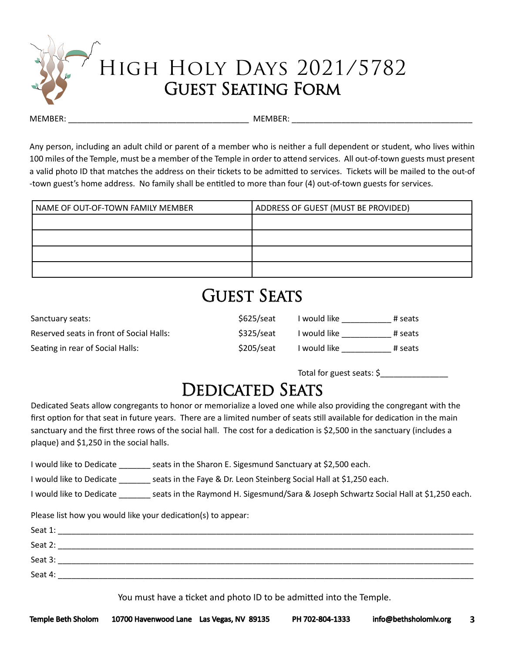# High Holy Days 2021/5782 Guest Seating Form

MEMBER: \_\_\_\_\_\_\_\_\_\_\_\_\_\_\_\_\_\_\_\_\_\_\_\_\_\_\_\_\_\_\_\_\_\_\_\_\_\_\_\_ MEMBER: \_\_\_\_\_\_\_\_\_\_\_\_\_\_\_\_\_\_\_\_\_\_\_\_\_\_\_\_\_\_\_\_\_\_\_\_\_\_\_\_

Any person, including an adult child or parent of a member who is neither a full dependent or student, who lives within 100 miles of the Temple, must be a member of the Temple in order to attend services. All out-of-town guests must present a valid photo ID that matches the address on their tickets to be admitted to services. Tickets will be mailed to the out-of -town guest's home address. No family shall be entitled to more than four (4) out-of-town guests for services.

| NAME OF OUT-OF-TOWN FAMILY MEMBER | ADDRESS OF GUEST (MUST BE PROVIDED) |
|-----------------------------------|-------------------------------------|
|                                   |                                     |
|                                   |                                     |
|                                   |                                     |
|                                   |                                     |

### **GUEST SEATS**

| Sanctuary seats:                         | S625/seat    | I would like | # seats |
|------------------------------------------|--------------|--------------|---------|
| Reserved seats in front of Social Halls: | \$325/seat   | I would like | # seats |
| Seating in rear of Social Halls:         | $$205/$ seat | I would like | # seats |

Total for guest seats: \$\_\_\_\_\_\_\_\_\_\_\_\_\_\_\_

## DEDICATED SEATS

Dedicated Seats allow congregants to honor or memorialize a loved one while also providing the congregant with the first option for that seat in future years. There are a limited number of seats still available for dedication in the main sanctuary and the first three rows of the social hall. The cost for a dedication is \$2,500 in the sanctuary (includes a plaque) and \$1,250 in the social halls.

I would like to Dedicate \_\_\_\_\_\_\_ seats in the Sharon E. Sigesmund Sanctuary at \$2,500 each.

I would like to Dedicate seats in the Faye & Dr. Leon Steinberg Social Hall at \$1,250 each.

I would like to Dedicate seats in the Raymond H. Sigesmund/Sara & Joseph Schwartz Social Hall at \$1,250 each.

Please list how you would like your dedication(s) to appear:

| Seat 1: |  |
|---------|--|
| Seat 2: |  |
| Seat 3: |  |
| Seat 4: |  |
|         |  |

You must have a ticket and photo ID to be admitted into the Temple.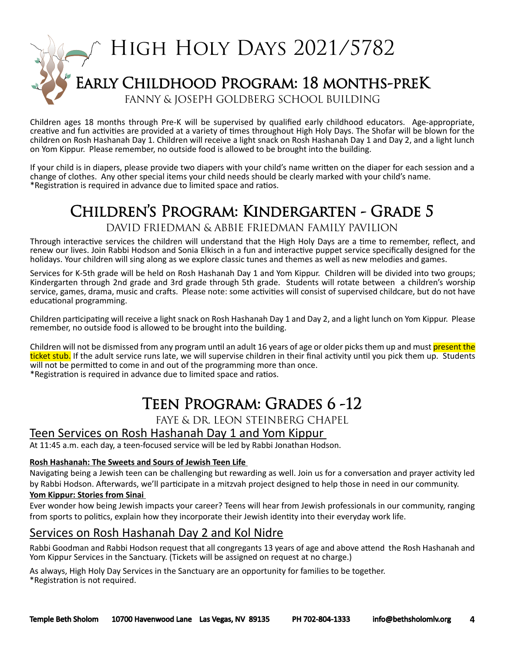

Children ages 18 months through Pre-K will be supervised by qualified early childhood educators. Age-appropriate, creative and fun activities are provided at a variety of times throughout High Holy Days. The Shofar will be blown for the children on Rosh Hashanah Day 1. Children will receive a light snack on Rosh Hashanah Day 1 and Day 2, and a light lunch on Yom Kippur. Please remember, no outside food is allowed to be brought into the building.

If your child is in diapers, please provide two diapers with your child's name written on the diaper for each session and a change of clothes. Any other special items your child needs should be clearly marked with your child's name. \*Registration is required in advance due to limited space and ratios.

### Children's Program: Kindergarten - Grade 5

DAVID FRIEDMAN & ABBIE FRIEDMAN FAMILY PAVILION

Through interactive services the children will understand that the High Holy Days are a time to remember, reflect, and renew our lives. Join Rabbi Hodson and Sonia Elkisch in a fun and interactive puppet service specifically designed for the holidays. Your children will sing along as we explore classic tunes and themes as well as new melodies and games.

Services for K-5th grade will be held on Rosh Hashanah Day 1 and Yom Kippur. Children will be divided into two groups; Kindergarten through 2nd grade and 3rd grade through 5th grade. Students will rotate between a children's worship service, games, drama, music and crafts. Please note: some activities will consist of supervised childcare, but do not have educational programming.

Children participating will receive a light snack on Rosh Hashanah Day 1 and Day 2, and a light lunch on Yom Kippur. Please remember, no outside food is allowed to be brought into the building.

Children will not be dismissed from any program until an adult 16 years of age or older picks them up and must present the ticket stub. If the adult service runs late, we will supervise children in their final activity until you pick them up. Students will not be permitted to come in and out of the programming more than once. \*Registration is required in advance due to limited space and ratios.

### Teen Program: Grades 6 -12

FAYE & DR. LEON STEINBERG CHAPEL

#### Teen Services on Rosh Hashanah Day 1 and Yom Kippur

At 11:45 a.m. each day, a teen-focused service will be led by Rabbi Jonathan Hodson.

#### **Rosh Hashanah: The Sweets and Sours of Jewish Teen Life**

Navigating being a Jewish teen can be challenging but rewarding as well. Join us for a conversation and prayer activity led by Rabbi Hodson. Afterwards, we'll participate in a mitzvah project designed to help those in need in our community.

#### **Yom Kippur: Stories from Sinai**

Ever wonder how being Jewish impacts your career? Teens will hear from Jewish professionals in our community, ranging from sports to politics, explain how they incorporate their Jewish identity into their everyday work life.

### Services on Rosh Hashanah Day 2 and Kol Nidre

Rabbi Goodman and Rabbi Hodson request that all congregants 13 years of age and above attend the Rosh Hashanah and Yom Kippur Services in the Sanctuary. (Tickets will be assigned on request at no charge.)

As always, High Holy Day Services in the Sanctuary are an opportunity for families to be together. \*Registration is not required.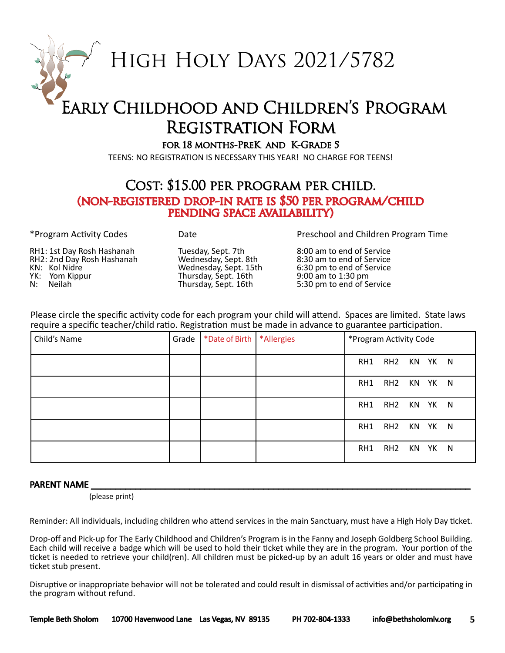High Holy Days 2021/5782

### Early Childhood and Children's Program Registration Form

for 18 months-PreK and K-Grade 5

TEENS: NO REGISTRATION IS NECESSARY THIS YEAR! NO CHARGE FOR TEENS!

### Cost: \$15.00 per program per child. (non-registered drop-in rate is \$50 per program/child pending space availability)

RH1: 1st Day Rosh Hashanah Tuesday, Sept. 7th 8:00 am to end of Service<br>RH2: 2nd Day Rosh Hashanah Wednesday, Sept. 8th 8:30 am to end of Service RH2: 2nd Day Rosh Hashanah Wednesday, Sept. 8th 8:30 am to Wednesday, Sept. 15th 8:30 am to 20:30 am to 20:30 am to Mednesday, Sept. 15th 8:30 am to 20:30 am to 20:30 am to 20:30 am to 20:30 am to 20:30 am to 20:30 am to 2 YK: Yom Kippur Thursday, Sept. 16th 9:00 am to 1:30 pm<br>N: Neilah 9:00 am to end of Sept. 16th 9:30 pm to end of Se

\*Program Activity Codes Date Preschool and Children Program Time

6:30 pm to end of Service 5:30 pm to end of Service.

Please circle the specific activity code for each program your child will attend. Spaces are limited. State laws require a specific teacher/child ratio. Registration must be made in advance to guarantee participation.

| Child's Name | Grade | *Date of Birth   *Allergies | *Program Activity Code |                 |         |  |
|--------------|-------|-----------------------------|------------------------|-----------------|---------|--|
|              |       |                             | RH1                    | RH <sub>2</sub> | KN YK N |  |
|              |       |                             | RH1                    | RH2 KN YK N     |         |  |
|              |       |                             | RH1                    | RH2 KN YK N     |         |  |
|              |       |                             | RH1                    | RH2 KN YK N     |         |  |
|              |       |                             | RH1                    | RH <sub>2</sub> | KN YK N |  |

#### PARENT NAME

(please print)

Reminder: All individuals, including children who attend services in the main Sanctuary, must have a High Holy Day ticket.

Drop-off and Pick-up for The Early Childhood and Children's Program is in the Fanny and Joseph Goldberg School Building. Each child will receive a badge which will be used to hold their ticket while they are in the program. Your portion of the ticket is needed to retrieve your child(ren). All children must be picked-up by an adult 16 years or older and must have ticket stub present.

Disruptive or inappropriate behavior will not be tolerated and could result in dismissal of activities and/or participating in the program without refund.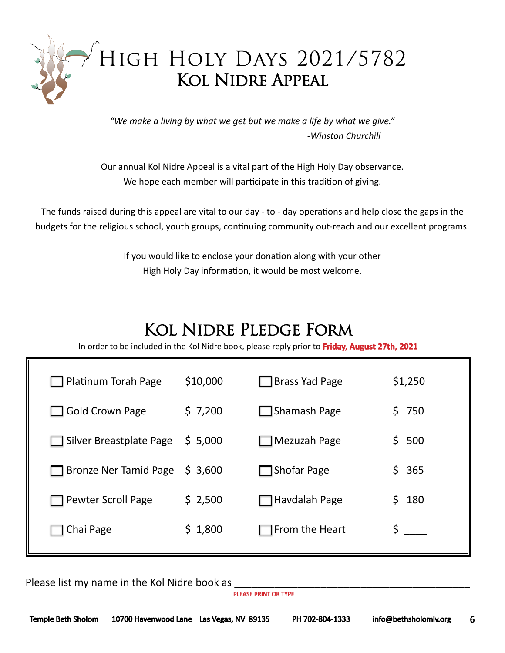

*"We make a living by what we get but we make a life by what we give." -Winston Churchill*

Our annual Kol Nidre Appeal is a vital part of the High Holy Day observance. We hope each member will participate in this tradition of giving.

The funds raised during this appeal are vital to our day - to - day operations and help close the gaps in the budgets for the religious school, youth groups, continuing community out-reach and our excellent programs.

> If you would like to enclose your donation along with your other High Holy Day information, it would be most welcome.

## Kol Nidre Pledge Form

In order to be included in the Kol Nidre book, please reply prior to **Friday, August 27th, 2021**

| Platinum Torah Page       | \$10,000 | Brass Yad Page        | \$1,250    |
|---------------------------|----------|-----------------------|------------|
| <b>Gold Crown Page</b>    | \$7,200  | Shamash Page          | \$.<br>750 |
| Silver Breastplate Page   | \$5,000  | Mezuzah Page          | \$.<br>500 |
| Bronze Ner Tamid Page     | \$3,600  | <b>Shofar Page</b>    | 365<br>S.  |
| <b>Pewter Scroll Page</b> | \$2,500  | Havdalah Page         | \$<br>180  |
| Chai Page                 | \$1,800  | $\Box$ From the Heart | \$         |

Please list my name in the Kol Nidre book as

PLEASE PRINT OR TYPE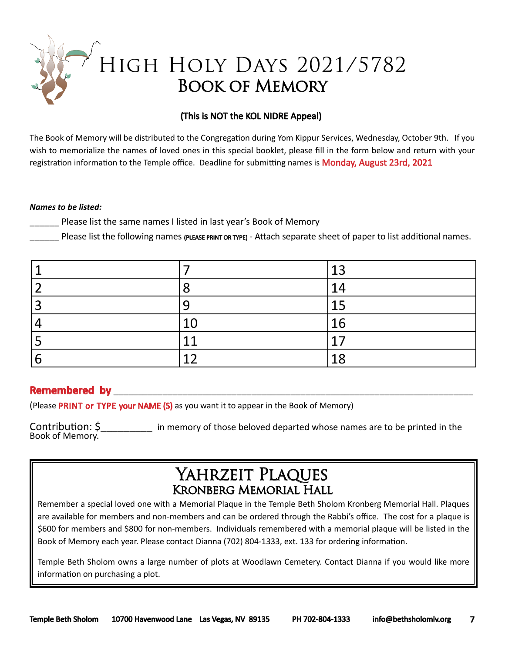

#### (This is NOT the KOL NIDRE Appeal)

The Book of Memory will be distributed to the Congregation during Yom Kippur Services, Wednesday, October 9th. If you wish to memorialize the names of loved ones in this special booklet, please fill in the form below and return with your registration information to the Temple office. Deadline for submitting names is **Monday, August 23rd, 2021** 

#### *Names to be listed:*

Please list the same names I listed in last year's Book of Memory

Please list the following names (PLEASE PRINT OR TYPE) - Attach separate sheet of paper to list additional names.

|           | 13           |
|-----------|--------------|
|           | 14           |
|           | −<br>┖╌      |
| 1 $\cap$  | 16           |
| <b>11</b> |              |
| ∽         | $\mathbf{o}$ |

#### **Remembered by Example 20**

(Please PRINT or TYPE your NAME (S) as you want it to appear in the Book of Memory)

Contribution: \$ \_\_\_\_\_\_\_\_\_\_ in memory of those beloved departed whose names are to be printed in the Book of Memory.

### Yahrzeit Plaques Kronberg Memorial Hall

Remember a special loved one with a Memorial Plaque in the Temple Beth Sholom Kronberg Memorial Hall. Plaques are available for members and non-members and can be ordered through the Rabbi's office. The cost for a plaque is \$600 for members and \$800 for non-members. Individuals remembered with a memorial plaque will be listed in the Book of Memory each year. Please contact Dianna (702) 804-1333, ext. 133 for ordering information.

Temple Beth Sholom owns a large number of plots at Woodlawn Cemetery. Contact Dianna if you would like more information on purchasing a plot.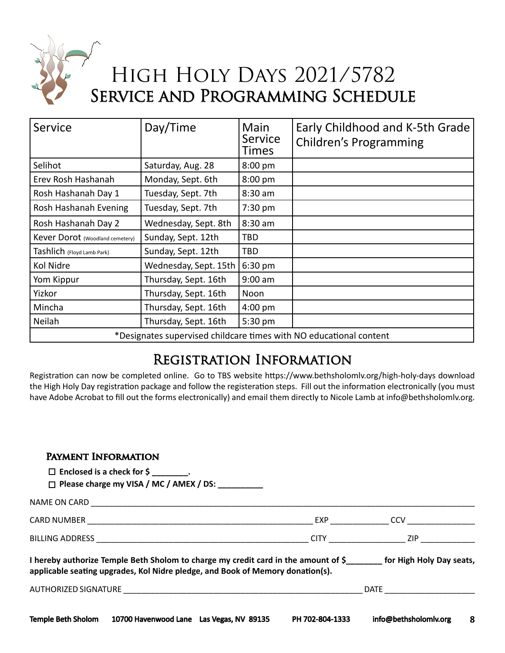

## High Holy Days 2021/5782 Service and Programming Schedule

| Service                                                            | Day/Time              | Main<br>Service<br><b>Times</b> | Early Childhood and K-5th Grade<br><b>Children's Programming</b> |  |  |
|--------------------------------------------------------------------|-----------------------|---------------------------------|------------------------------------------------------------------|--|--|
| Selihot                                                            | Saturday, Aug. 28     | 8:00 pm                         |                                                                  |  |  |
| Erev Rosh Hashanah                                                 | Monday, Sept. 6th     | 8:00 pm                         |                                                                  |  |  |
| Rosh Hashanah Day 1                                                | Tuesday, Sept. 7th    | $8:30$ am                       |                                                                  |  |  |
| Rosh Hashanah Evening                                              | Tuesday, Sept. 7th    | 7:30 pm                         |                                                                  |  |  |
| Rosh Hashanah Day 2                                                | Wednesday, Sept. 8th  | 8:30 am                         |                                                                  |  |  |
| Kever Dorot (Woodland cemetery)                                    | Sunday, Sept. 12th    | TBD                             |                                                                  |  |  |
| Tashlich (Floyd Lamb Park)                                         | Sunday, Sept. 12th    | TBD                             |                                                                  |  |  |
| Kol Nidre                                                          | Wednesday, Sept. 15th | 6:30 pm                         |                                                                  |  |  |
| Yom Kippur                                                         | Thursday, Sept. 16th  | $9:00$ am                       |                                                                  |  |  |
| Yizkor                                                             | Thursday, Sept. 16th  | Noon                            |                                                                  |  |  |
| Mincha                                                             | Thursday, Sept. 16th  | $4:00 \text{ pm}$               |                                                                  |  |  |
| Neilah                                                             | Thursday, Sept. 16th  | 5:30 pm                         |                                                                  |  |  |
| *Designates supervised childcare times with NO educational content |                       |                                 |                                                                  |  |  |

### Registration Information

Registration can now be completed online. Go to TBS website https://www.bethsholomlv.org/high-holy-days download the High Holy Day registration package and follow the registeration steps. Fill out the information electronically (you must have Adobe Acrobat to fill out the forms electronically) and email them directly to Nicole Lamb at info@bethsholomlv.org.

#### **Payment Information**

| $\Box$ Enclosed is a check for $\zeta$ ________.<br>□ Please charge my VISA / MC / AMEX / DS: _________                                                                                            |  |
|----------------------------------------------------------------------------------------------------------------------------------------------------------------------------------------------------|--|
|                                                                                                                                                                                                    |  |
|                                                                                                                                                                                                    |  |
|                                                                                                                                                                                                    |  |
| I hereby authorize Temple Beth Sholom to charge my credit card in the amount of $\zeta$ for High Holy Day seats,<br>applicable seating upgrades, Kol Nidre pledge, and Book of Memory donation(s). |  |
|                                                                                                                                                                                                    |  |
|                                                                                                                                                                                                    |  |